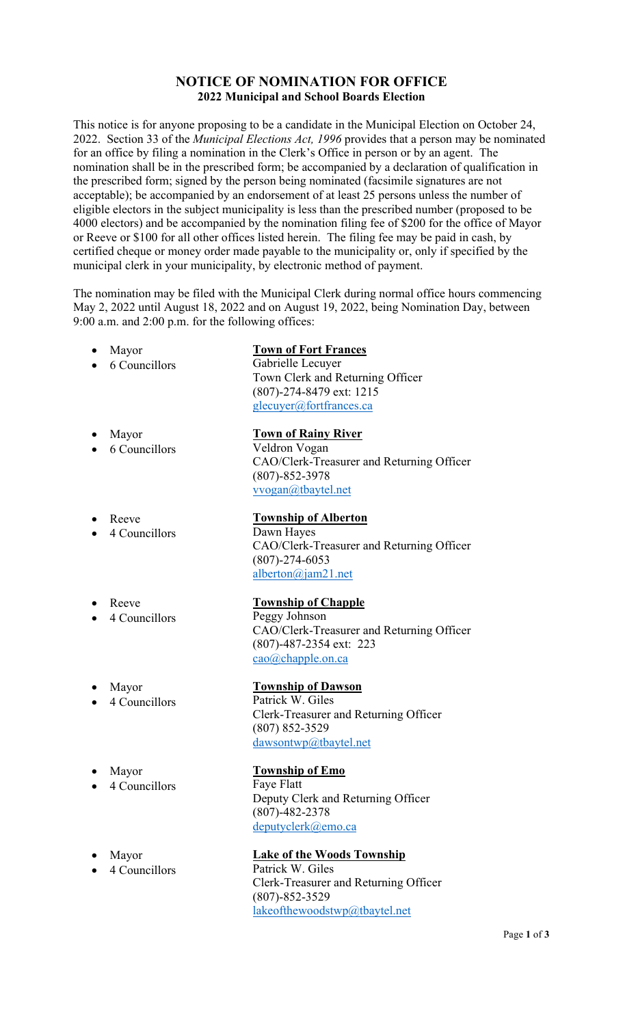## **NOTICE OF NOMINATION FOR OFFICE 2022 Municipal and School Boards Election**

This notice is for anyone proposing to be a candidate in the Municipal Election on October 24, 2022. Section 33 of the *Municipal Elections Act, 1996* provides that a person may be nominated for an office by filing a nomination in the Clerk's Office in person or by an agent. The nomination shall be in the prescribed form; be accompanied by a declaration of qualification in the prescribed form; signed by the person being nominated (facsimile signatures are not acceptable); be accompanied by an endorsement of at least 25 persons unless the number of eligible electors in the subject municipality is less than the prescribed number (proposed to be 4000 electors) and be accompanied by the nomination filing fee of \$200 for the office of Mayor or Reeve or \$100 for all other offices listed herein. The filing fee may be paid in cash, by certified cheque or money order made payable to the municipality or, only if specified by the municipal clerk in your municipality, by electronic method of payment.

The nomination may be filed with the Municipal Clerk during normal office hours commencing May 2, 2022 until August 18, 2022 and on August 19, 2022, being Nomination Day, between 9:00 a.m. and 2:00 p.m. for the following offices:

|           | Mayor         | <b>Town of Fort Frances</b>                                       |
|-----------|---------------|-------------------------------------------------------------------|
|           | 6 Councillors | Gabrielle Lecuyer                                                 |
|           |               | Town Clerk and Returning Officer                                  |
|           |               | (807)-274-8479 ext: 1215                                          |
|           |               | glecuyer@fortfrances.ca                                           |
|           | Mayor         | <b>Town of Rainy River</b>                                        |
|           | 6 Councillors | Veldron Vogan                                                     |
|           |               | CAO/Clerk-Treasurer and Returning Officer<br>$(807) - 852 - 3978$ |
|           |               | vvogan@tbaytel.net                                                |
|           | Reeve         | <b>Township of Alberton</b>                                       |
|           | 4 Councillors | Dawn Hayes                                                        |
|           |               | CAO/Clerk-Treasurer and Returning Officer                         |
|           |               | $(807) - 274 - 6053$                                              |
|           |               | alberton@jam21.net                                                |
|           | Reeve         | <b>Township of Chapple</b>                                        |
|           | 4 Councillors | Peggy Johnson                                                     |
|           |               | CAO/Clerk-Treasurer and Returning Officer                         |
|           |               | (807)-487-2354 ext: 223                                           |
|           |               | cao@chapple.on.ca                                                 |
|           | Mayor         | <b>Township of Dawson</b>                                         |
|           | 4 Councillors | Patrick W. Giles                                                  |
|           |               | Clerk-Treasurer and Returning Officer                             |
|           |               | $(807) 852 - 3529$                                                |
|           |               | dawsontwp@tbaytel.net                                             |
|           | Mayor         | <b>Township of Emo</b>                                            |
| $\bullet$ | 4 Councillors | Faye Flatt                                                        |
|           |               | Deputy Clerk and Returning Officer                                |
|           |               | $(807) - 482 - 2378$                                              |
|           |               | deputyclerk@emo.ca                                                |
|           | Mayor         | <b>Lake of the Woods Township</b>                                 |
|           | 4 Councillors | Patrick W. Giles                                                  |
|           |               | Clerk-Treasurer and Returning Officer                             |
|           |               | $(807) - 852 - 3529$                                              |
|           |               | lakeofthewoodstwp@tbaytel.net                                     |
|           |               |                                                                   |
|           |               |                                                                   |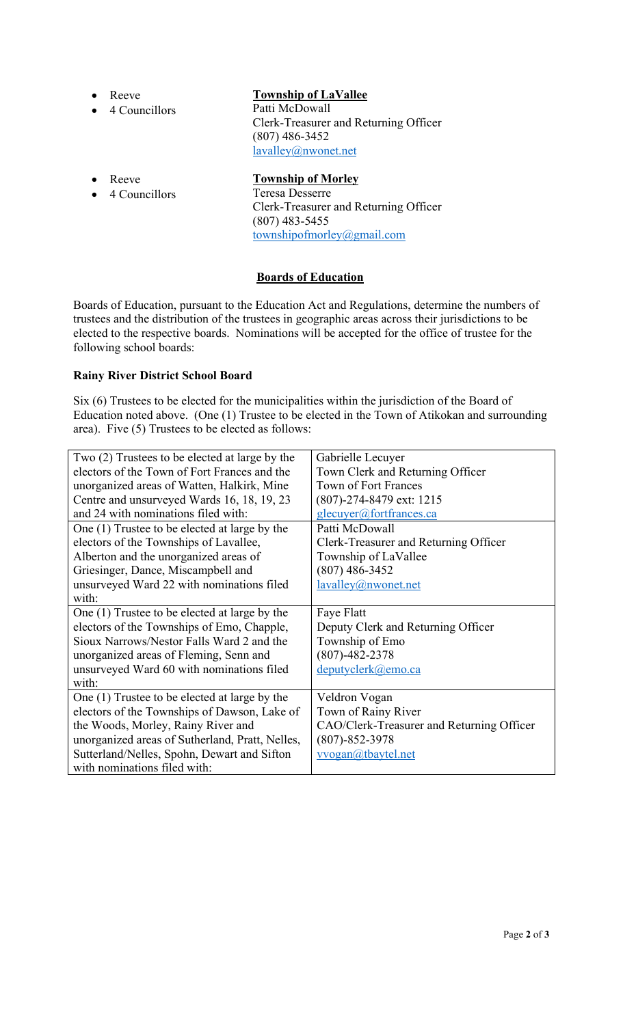- Reeve
- 4 Councillors

# **Township of LaVallee**

Patti McDowall Clerk-Treasurer and Returning Officer (807) 486-3452 lavalley@nwonet.net

- Reeve
- 4 Councillors

## **Township of Morley**

Teresa Desserre Clerk-Treasurer and Returning Officer (807) 483-5455 townshipofmorley@gmail.com

# **Boards of Education**

Boards of Education, pursuant to the Education Act and Regulations, determine the numbers of trustees and the distribution of the trustees in geographic areas across their jurisdictions to be elected to the respective boards. Nominations will be accepted for the office of trustee for the following school boards:

## **Rainy River District School Board**

Six (6) Trustees to be elected for the municipalities within the jurisdiction of the Board of Education noted above. (One (1) Trustee to be elected in the Town of Atikokan and surrounding area). Five (5) Trustees to be elected as follows:

| Two (2) Trustees to be elected at large by the  | Gabrielle Lecuyer                         |
|-------------------------------------------------|-------------------------------------------|
| electors of the Town of Fort Frances and the    | Town Clerk and Returning Officer          |
| unorganized areas of Watten, Halkirk, Mine      | <b>Town of Fort Frances</b>               |
| Centre and unsurveyed Wards 16, 18, 19, 23      | (807)-274-8479 ext: 1215                  |
| and 24 with nominations filed with:             | glecuyer@fortfrances.ca                   |
| One (1) Trustee to be elected at large by the   | Patti McDowall                            |
| electors of the Townships of Lavallee,          | Clerk-Treasurer and Returning Officer     |
| Alberton and the unorganized areas of           | Township of LaVallee                      |
| Griesinger, Dance, Miscampbell and              | $(807)$ 486-3452                          |
| unsurveyed Ward 22 with nominations filed       | lavalley@nwonet.net                       |
| with:                                           |                                           |
| One (1) Trustee to be elected at large by the   | Faye Flatt                                |
| electors of the Townships of Emo, Chapple,      | Deputy Clerk and Returning Officer        |
| Sioux Narrows/Nestor Falls Ward 2 and the       | Township of Emo                           |
| unorganized areas of Fleming, Senn and          | $(807)-482-2378$                          |
| unsurveyed Ward 60 with nominations filed       | deputyclerk@emo.ca                        |
| with:                                           |                                           |
| One (1) Trustee to be elected at large by the   | Veldron Vogan                             |
| electors of the Townships of Dawson, Lake of    | Town of Rainy River                       |
| the Woods, Morley, Rainy River and              | CAO/Clerk-Treasurer and Returning Officer |
| unorganized areas of Sutherland, Pratt, Nelles, | $(807) - 852 - 3978$                      |
| Sutterland/Nelles, Spohn, Dewart and Sifton     | vvogan@tbaytel.net                        |
| with nominations filed with:                    |                                           |